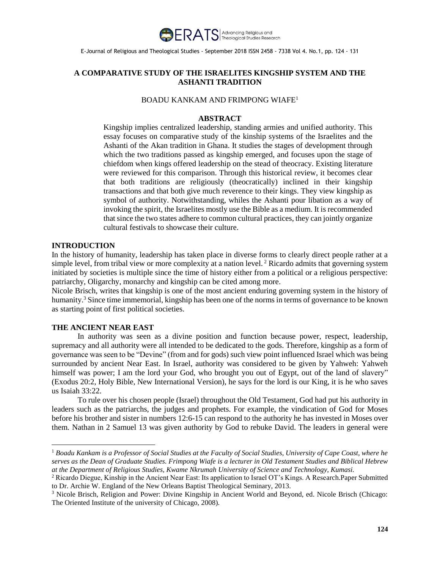

# **A COMPARATIVE STUDY OF THE ISRAELITES KINGSHIP SYSTEM AND THE ASHANTI TRADITION**

### BOADU KANKAM AND FRIMPONG WIAFE<sup>1</sup>

#### **ABSTRACT**

Kingship implies centralized leadership, standing armies and unified authority. This essay focuses on comparative study of the kinship systems of the Israelites and the Ashanti of the Akan tradition in Ghana. It studies the stages of development through which the two traditions passed as kingship emerged, and focuses upon the stage of chiefdom when kings offered leadership on the stead of theocracy. Existing literature were reviewed for this comparison. Through this historical review, it becomes clear that both traditions are religiously (theocratically) inclined in their kingship transactions and that both give much reverence to their kings. They view kingship as symbol of authority. Notwithstanding, whiles the Ashanti pour libation as a way of invoking the spirit, the Israelites mostly use the Bible as a medium. It is recommended that since the two states adhere to common cultural practices, they can jointly organize cultural festivals to showcase their culture.

#### **INTRODUCTION**

 $\overline{a}$ 

In the history of humanity, leadership has taken place in diverse forms to clearly direct people rather at a simple level, from tribal view or more complexity at a nation level.<sup>2</sup> Ricardo admits that governing system initiated by societies is multiple since the time of history either from a political or a religious perspective: patriarchy, Oligarchy, monarchy and kingship can be cited among more.

Nicole Brisch, writes that kingship is one of the most ancient enduring governing system in the history of humanity.<sup>3</sup> Since time immemorial, kingship has been one of the norms in terms of governance to be known as starting point of first political societies.

## **THE ANCIENT NEAR EAST**

In authority was seen as a divine position and function because power, respect, leadership, supremacy and all authority were all intended to be dedicated to the gods. Therefore, kingship as a form of governance was seen to be "Devine" (from and for gods) such view point influenced Israel which was being surrounded by ancient Near East. In Israel, authority was considered to be given by Yahweh: Yahweh himself was power; I am the lord your God, who brought you out of Egypt, out of the land of slavery" (Exodus 20:2, Holy Bible, New International Version), he says for the lord is our King, it is he who saves us Isaiah 33:22.

To rule over his chosen people (Israel) throughout the Old Testament, God had put his authority in leaders such as the patriarchs, the judges and prophets. For example, the vindication of God for Moses before his brother and sister in numbers 12:6-15 can respond to the authority he has invested in Moses over them. Nathan in 2 Samuel 13 was given authority by God to rebuke David. The leaders in general were

<sup>1</sup> *Boadu Kankam is a Professor of Social Studies at the Faculty of Social Studies, University of Cape Coast, where he serves as the Dean of Graduate Studies. Frimpong Wiafe is a lecturer in Old Testament Studies and Biblical Hebrew at the Department of Religious Studies, Kwame Nkrumah University of Science and Technology, Kumasi.*

<sup>&</sup>lt;sup>2</sup> Ricardo Diegue, Kinship in the Ancient Near East: Its application to Israel OT's Kings. A Research.Paper Submitted to Dr. Archie W. England of the New Orleans Baptist Theological Seminary, 2013.

<sup>3</sup> Nicole Brisch, Religion and Power: Divine Kingship in Ancient World and Beyond, ed. Nicole Brisch (Chicago: The Oriented Institute of the university of Chicago, 2008).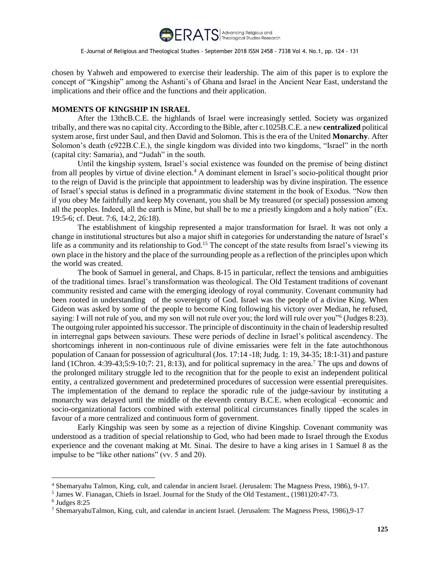

chosen by Yahweh and empowered to exercise their leadership. The aim of this paper is to explore the concept of "Kingship" among the Ashanti's of Ghana and Israel in the Ancient Near East, understand the implications and their office and the functions and their application.

### **MOMENTS OF KINGSHIP IN ISRAEL**

After the 13thcB.C.E. the highlands of Israel were increasingly settled. Society was organized tribally, and there was no capital city. According to the Bible, after c.1025B.C.E. a new **centralized** political system arose, first under Saul, and then David and Solomon. This is the era of the United **Monarchy**. After Solomon's death (c922B.C.E.), the single kingdom was divided into two kingdoms, "Israel" in the north (capital city: Samaria), and "Judah" in the south.

Until the kingship system, Israel's social existence was founded on the premise of being distinct from all peoples by virtue of divine election.<sup>4</sup> A dominant element in Israel's socio-political thought prior to the reign of David is the principle that appointment to leadership was by divine inspiration. The essence of Israel's special status is defined in a programmatic divine statement in the book of Exodus. "Now then if you obey Me faithfully and keep My covenant, you shall be My treasured (or special) possession among all the peoples. Indeed, all the earth is Mine, but shall be to me a priestly kingdom and a holy nation" (Ex. 19:5-6; cf. Deut. 7:6, 14:2, 26:18).

The establishment of kingship represented a major transformation for Israel. It was not only a change in institutional structures but also a major shift in categories for understanding the nature of Israel's life as a community and its relationship to God.<sup>15</sup> The concept of the state results from Israel's viewing its own place in the history and the place of the surrounding people as a reflection of the principles upon which the world was created.

The book of Samuel in general, and Chaps. 8-15 in particular, reflect the tensions and ambiguities of the traditional times. Israel's transformation was theological. The Old Testament traditions of covenant community resisted and came with the emerging ideology of royal community. Covenant community had been rooted in understanding of the sovereignty of God. Israel was the people of a divine King. When Gideon was asked by some of the people to become King following his victory over Median, he refused, saying: I will not rule of you, and my son will not rule over you; the lord will rule over you"<sup>6</sup> (Judges 8:23). The outgoing ruler appointed his successor. The principle of discontinuity in the chain of leadership resulted in interregnal gaps between saviours. These were periods of decline in Israel's political ascendency. The shortcomings inherent in non-continuous rule of divine emissaries were felt in the fate autochthonous population of Canaan for possession of agricultural (Jos. 17:14 -18; Judg. 1: 19, 34-35; 18:1-31) and pasture land (1Chron. 4:39-43;5:9-10;7: 21, 8:13), and for political supremacy in the area.<sup>7</sup> The ups and downs of the prolonged military struggle led to the recognition that for the people to exist an independent political entity, a centralized government and predetermined procedures of succession were essential prerequisites. The implementation of the demand to replace the sporadic rule of the judge-saviour by instituting a monarchy was delayed until the middle of the eleventh century B.C.E. when ecological –economic and socio-organizational factors combined with external political circumstances finally tipped the scales in favour of a more centralized and continuous form of government.

Early Kingship was seen by some as a rejection of divine Kingship. Covenant community was understood as a tradition of special relationship to God, who had been made to Israel through the Exodus experience and the covenant making at Mt. Sinai. The desire to have a king arises in 1 Samuel 8 as the impulse to be "like other nations" (vv. 5 and 20).

 $\overline{a}$ 

<sup>4</sup> Shemaryahu Talmon, King, cult, and calendar in ancient Israel. (Jerusalem: The Magness Press, 1986), 9-17.

<sup>&</sup>lt;sup>5</sup> James W. Fianagan, Chiefs in Israel. Journal for the Study of the Old Testament., (1981)20:47-73.

<sup>6</sup> Judges 8:25

<sup>&</sup>lt;sup>7</sup> ShemaryahuTalmon, King, cult, and calendar in ancient Israel. (Jerusalem: The Magness Press, 1986),9-17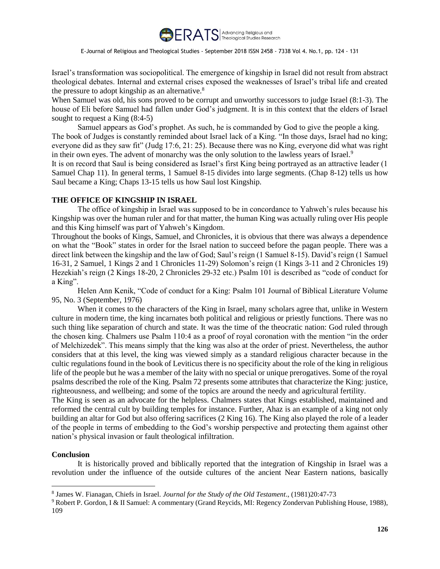

Israel's transformation was sociopolitical. The emergence of kingship in Israel did not result from abstract theological debates. Internal and external crises exposed the weaknesses of Israel's tribal life and created the pressure to adopt kingship as an alternative.<sup>8</sup>

When Samuel was old, his sons proved to be corrupt and unworthy successors to judge Israel (8:1-3). The house of Eli before Samuel had fallen under God's judgment. It is in this context that the elders of Israel sought to request a King (8:4-5)

Samuel appears as God's prophet. As such, he is commanded by God to give the people a king. The book of Judges is constantly reminded about Israel lack of a King. "In those days, Israel had no king; everyone did as they saw fit" (Judg 17:6, 21: 25). Because there was no King, everyone did what was right in their own eyes. The advent of monarchy was the only solution to the lawless years of Israel.<sup>9</sup>

It is on record that Saul is being considered as Israel's first King being portrayed as an attractive leader (1 Samuel Chap 11). In general terms, 1 Samuel 8-15 divides into large segments. (Chap 8-12) tells us how Saul became a King; Chaps 13-15 tells us how Saul lost Kingship.

### **THE OFFICE OF KINGSHIP IN ISRAEL**

The office of kingship in Israel was supposed to be in concordance to Yahweh's rules because his Kingship was over the human ruler and for that matter, the human King was actually ruling over His people and this King himself was part of Yahweh's Kingdom.

Throughout the books of Kings, Samuel, and Chronicles, it is obvious that there was always a dependence on what the "Book" states in order for the Israel nation to succeed before the pagan people. There was a direct link between the kingship and the law of God; Saul's reign (1 Samuel 8-15). David's reign (1 Samuel 16-31, 2 Samuel, 1 Kings 2 and 1 Chronicles 11-29) Solomon's reign (1 Kings 3-11 and 2 Chronicles 19) Hezekiah's reign (2 Kings 18-20, 2 Chronicles 29-32 etc.) Psalm 101 is described as "code of conduct for a King".

Helen Ann Kenik, "Code of conduct for a King: Psalm 101 Journal of Biblical Literature Volume 95, No. 3 (September, 1976)

When it comes to the characters of the King in Israel, many scholars agree that, unlike in Western culture in modern time, the king incarnates both political and religious or priestly functions. There was no such thing like separation of church and state. It was the time of the theocratic nation: God ruled through the chosen king. Chalmers use Psalm 110:4 as a proof of royal coronation with the mention "in the order of Melchizedek". This means simply that the king was also at the order of priest. Nevertheless, the author considers that at this level, the king was viewed simply as a standard religious character because in the cultic regulations found in the book of Leviticus there is no specificity about the role of the king in religious life of the people but he was a member of the laity with no special or unique prerogatives. Some of the royal psalms described the role of the King. Psalm 72 presents some attributes that characterize the King: justice, righteousness, and wellbeing; and some of the topics are around the needy and agricultural fertility.

The King is seen as an advocate for the helpless. Chalmers states that Kings established, maintained and reformed the central cult by building temples for instance. Further, Ahaz is an example of a king not only building an altar for God but also offering sacrifices (2 King 16). The King also played the role of a leader of the people in terms of embedding to the God's worship perspective and protecting them against other nation's physical invasion or fault theological infiltration.

### **Conclusion**

 $\overline{a}$ 

It is historically proved and biblically reported that the integration of Kingship in Israel was a revolution under the influence of the outside cultures of the ancient Near Eastern nations, basically

<sup>8</sup> James W. Fianagan, Chiefs in Israel. *Journal for the Study of the Old Testament*., (1981)20:47-73

<sup>9</sup> Robert P. Gordon, I & II Samuel: A commentary (Grand Reycids, MI: Regency Zondervan Publishing House, 1988), 109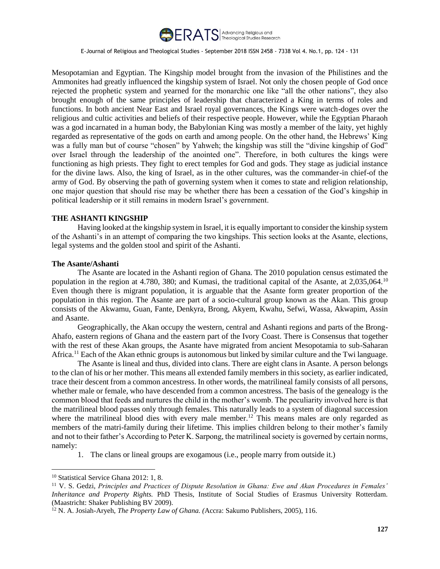

Mesopotamian and Egyptian. The Kingship model brought from the invasion of the Philistines and the Ammonites had greatly influenced the kingship system of Israel. Not only the chosen people of God once rejected the prophetic system and yearned for the monarchic one like "all the other nations", they also brought enough of the same principles of leadership that characterized a King in terms of roles and functions. In both ancient Near East and Israel royal governances, the Kings were watch-doges over the religious and cultic activities and beliefs of their respective people. However, while the Egyptian Pharaoh was a god incarnated in a human body, the Babylonian King was mostly a member of the laity, yet highly regarded as representative of the gods on earth and among people. On the other hand, the Hebrews' King was a fully man but of course "chosen" by Yahweh; the kingship was still the "divine kingship of God" over Israel through the leadership of the anointed one". Therefore, in both cultures the kings were functioning as high priests. They fight to erect temples for God and gods. They stage as judicial instance for the divine laws. Also, the king of Israel, as in the other cultures, was the commander-in chief-of the army of God. By observing the path of governing system when it comes to state and religion relationship, one major question that should rise may be whether there has been a cessation of the God's kingship in political leadership or it still remains in modern Israel's government.

### **THE ASHANTI KINGSHIP**

Having looked at the kingship system in Israel, it is equally important to consider the kinship system of the Ashanti's in an attempt of comparing the two kingships. This section looks at the Asante, elections, legal systems and the golden stool and spirit of the Ashanti.

#### **The Asante/Ashanti**

The Asante are located in the Ashanti region of Ghana. The 2010 population census estimated the population in the region at 4.780, 380; and Kumasi, the traditional capital of the Asante, at 2,035,064.<sup>10</sup> Even though there is migrant population, it is arguable that the Asante form greater proportion of the population in this region. The Asante are part of a socio-cultural group known as the Akan. This group consists of the Akwamu, Guan, Fante, Denkyra, Brong, Akyem, Kwahu, Sefwi, Wassa, Akwapim, Assin and Asante.

Geographically, the Akan occupy the western, central and Ashanti regions and parts of the Brong-Ahafo, eastern regions of Ghana and the eastern part of the Ivory Coast. There is Consensus that together with the rest of these Akan groups, the Asante have migrated from ancient Mesopotamia to sub-Saharan Africa.<sup>11</sup> Each of the Akan ethnic groups is autonomous but linked by similar culture and the Twi language.

The Asante is lineal and thus, divided into clans. There are eight clans in Asante. A person belongs to the clan of his or her mother. This means all extended family members in this society, as earlier indicated, trace their descent from a common ancestress. In other words, the matrilineal family consists of all persons, whether male or female, who have descended from a common ancestress. The basis of the genealogy is the common blood that feeds and nurtures the child in the mother's womb. The peculiarity involved here is that the matrilineal blood passes only through females. This naturally leads to a system of diagonal succession where the matrilineal blood dies with every male member.<sup>12</sup> This means males are only regarded as members of the matri-family during their lifetime. This implies children belong to their mother's family and not to their father's According to Peter K. Sarpong, the matrilineal society is governed by certain norms, namely:

1. The clans or lineal groups are exogamous (i.e., people marry from outside it.)

 $\overline{a}$ 

<sup>10</sup> Statistical Service Ghana 2012: 1, 8.

<sup>11</sup> V. S. Gedzi, *Principles and Practices of Dispute Resolution in Ghana: Ewe and Akan Procedures in Females' Inheritance and Property Rights.* PhD Thesis, Institute of Social Studies of Erasmus University Rotterdam. (Maastricht: Shaker Publishing BV 2009).

<sup>12</sup> N. A. Josiah-Aryeh, *The Property Law of Ghana. (*Accra: Sakumo Publishers, 2005), 116.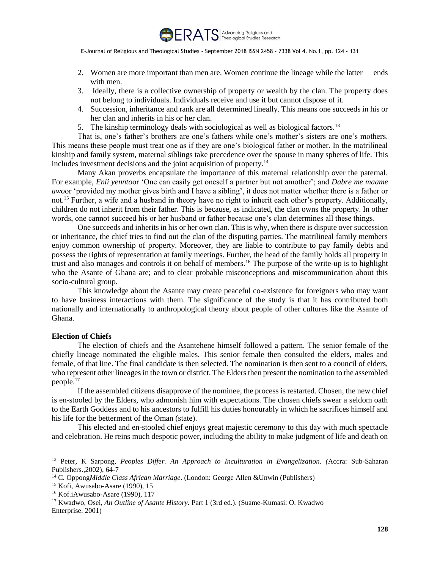

- 2. Women are more important than men are. Women continue the lineage while the latter ends with men.
- 3. Ideally, there is a collective ownership of property or wealth by the clan. The property does not belong to individuals. Individuals receive and use it but cannot dispose of it.
- 4. Succession, inheritance and rank are all determined lineally. This means one succeeds in his or her clan and inherits in his or her clan.
- 5. The kinship terminology deals with sociological as well as biological factors.<sup>13</sup>

That is, one's father's brothers are one's fathers while one's mother's sisters are one's mothers. This means these people must treat one as if they are one's biological father or mother. In the matrilineal kinship and family system, maternal siblings take precedence over the spouse in many spheres of life. This includes investment decisions and the joint acquisition of property.<sup>14</sup>

Many Akan proverbs encapsulate the importance of this maternal relationship over the paternal. For example, *Enii yennto*or 'One can easily get oneself a partner but not amother'; and *Dabre me maame awo*or 'provided my mother gives birth and I have a sibling', it does not matter whether there is a father or not.<sup>15</sup> Further, a wife and a husband in theory have no right to inherit each other's property. Additionally, children do not inherit from their father. This is because, as indicated, the clan owns the property. In other words, one cannot succeed his or her husband or father because one's clan determines all these things.

One succeeds and inherits in his or her own clan. This is why, when there is dispute over succession or inheritance, the chief tries to find out the clan of the disputing parties. The matrilineal family members enjoy common ownership of property. Moreover, they are liable to contribute to pay family debts and possess the rights of representation at family meetings. Further, the head of the family holds all property in trust and also manages and controls it on behalf of members.<sup>16</sup> The purpose of the write-up is to highlight who the Asante of Ghana are; and to clear probable misconceptions and miscommunication about this socio-cultural group.

This knowledge about the Asante may create peaceful co-existence for foreigners who may want to have business interactions with them. The significance of the study is that it has contributed both nationally and internationally to anthropological theory about people of other cultures like the Asante of Ghana.

## **Election of Chiefs**

 $\overline{a}$ 

The election of chiefs and the Asantehene himself followed a pattern. The senior female of the chiefly lineage nominated the eligible males. This senior female then consulted the elders, males and female, of that line. The final candidate is then selected. The nomination is then sent to a council of elders, who represent other lineages in the town or district. The Elders then present the nomination to the assembled people.<sup>17</sup>

If the assembled citizens disapprove of the nominee, the process is restarted. Chosen, the new chief is en-stooled by the Elders, who admonish him with expectations. The chosen chiefs swear a seldom oath to the Earth Goddess and to his ancestors to fulfill his duties honourably in which he sacrifices himself and his life for the betterment of the Oman (state).

This elected and en-stooled chief enjoys great majestic ceremony to this day with much spectacle and celebration. He reins much despotic power, including the ability to make judgment of life and death on

<sup>13</sup> Peter, K Sarpong, *Peoples Differ. An Approach to Inculturation in Evangelization. (*Accra: Sub-Saharan Publishers.,2002), 64-7

<sup>14</sup> C. Oppong*Middle Class African Marriage*. (London: George Allen &Unwin (Publishers)

<sup>15</sup> Kofi, Awusabo-Asare (1990), 15

<sup>16</sup> Kof.iAwusabo-Asare (1990), 117

<sup>17</sup> Kwadwo, Osei, *An Outline of Asante History.* Part 1 (3rd ed.). (Suame-Kumasi: O. Kwadwo Enterprise. 2001)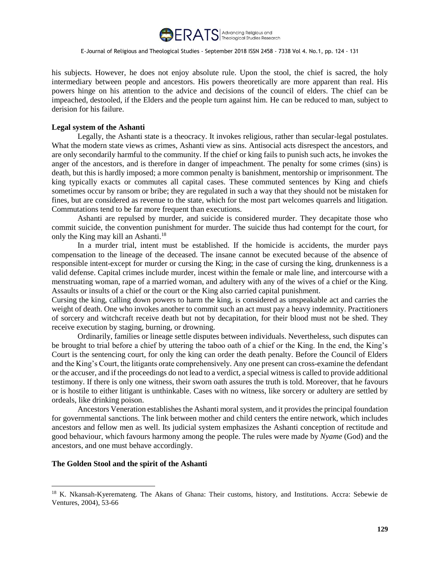

his subjects. However, he does not enjoy absolute rule. Upon the stool, the chief is sacred, the holy intermediary between people and ancestors. His powers theoretically are more apparent than real. His powers hinge on his attention to the advice and decisions of the council of elders. The chief can be impeached, destooled, if the Elders and the people turn against him. He can be reduced to man, subject to derision for his failure.

### **Legal system of the Ashanti**

Legally, the Ashanti state is a theocracy. It invokes religious, rather than secular-legal postulates. What the modern state views as crimes, Ashanti view as sins. Antisocial acts disrespect the ancestors, and are only secondarily harmful to the community. If the chief or king fails to punish such acts, he invokes the anger of the ancestors, and is therefore in danger of impeachment. The penalty for some crimes (sins) is death, but this is hardly imposed; a more common penalty is banishment, mentorship or imprisonment. The king typically exacts or commutes all capital cases. These commuted sentences by King and chiefs sometimes occur by ransom or bribe; they are regulated in such a way that they should not be mistaken for fines, but are considered as revenue to the state, which for the most part welcomes quarrels and litigation. Commutations tend to be far more frequent than executions.

Ashanti are repulsed by murder, and suicide is considered murder. They decapitate those who commit suicide, the convention punishment for murder. The suicide thus had contempt for the court, for only the King may kill an Ashanti.<sup>18</sup>

In a murder trial, intent must be established. If the homicide is accidents, the murder pays compensation to the lineage of the deceased. The insane cannot be executed because of the absence of responsible intent-except for murder or cursing the King; in the case of cursing the king, drunkenness is a valid defense. Capital crimes include murder, incest within the female or male line, and intercourse with a menstruating woman, rape of a married woman, and adultery with any of the wives of a chief or the King. Assaults or insults of a chief or the court or the King also carried capital punishment.

Cursing the king, calling down powers to harm the king, is considered as unspeakable act and carries the weight of death. One who invokes another to commit such an act must pay a heavy indemnity. Practitioners of sorcery and witchcraft receive death but not by decapitation, for their blood must not be shed. They receive execution by staging, burning, or drowning.

Ordinarily, families or lineage settle disputes between individuals. Nevertheless, such disputes can be brought to trial before a chief by uttering the taboo oath of a chief or the King. In the end, the King's Court is the sentencing court, for only the king can order the death penalty. Before the Council of Elders and the King's Court, the litigants orate comprehensively. Any one present can cross-examine the defendant or the accuser, and if the proceedings do not lead to a verdict, a special witness is called to provide additional testimony. If there is only one witness, their sworn oath assures the truth is told. Moreover, that he favours or is hostile to either litigant is unthinkable. Cases with no witness, like sorcery or adultery are settled by ordeals, like drinking poison.

Ancestors Veneration establishes the Ashanti moral system, and it provides the principal foundation for governmental sanctions. The link between mother and child centers the entire network, which includes ancestors and fellow men as well. Its judicial system emphasizes the Ashanti conception of rectitude and good behaviour, which favours harmony among the people. The rules were made by *Nyame* (God) and the ancestors, and one must behave accordingly.

### **The Golden Stool and the spirit of the Ashanti**

 $\overline{a}$ 

<sup>18</sup> K. Nkansah-Kyeremateng. The Akans of Ghana: Their customs, history, and Institutions. Accra: Sebewie de Ventures, 2004), 53-66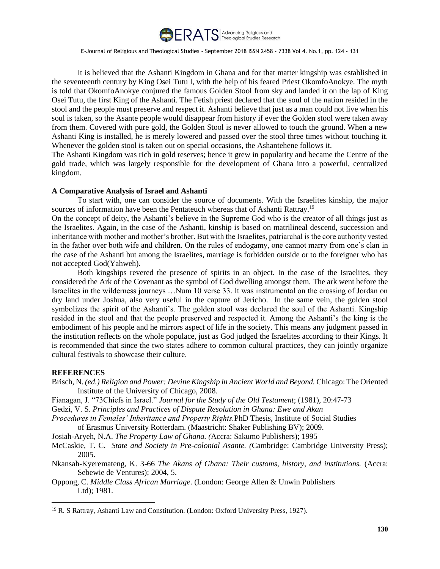

It is believed that the Ashanti Kingdom in Ghana and for that matter kingship was established in the seventeenth century by King Osei Tutu I, with the help of his feared Priest OkomfoAnokye. The myth is told that OkomfoAnokye conjured the famous Golden Stool from sky and landed it on the lap of King Osei Tutu, the first King of the Ashanti. The Fetish priest declared that the soul of the nation resided in the stool and the people must preserve and respect it. Ashanti believe that just as a man could not live when his soul is taken, so the Asante people would disappear from history if ever the Golden stool were taken away from them. Covered with pure gold, the Golden Stool is never allowed to touch the ground. When a new Ashanti King is installed, he is merely lowered and passed over the stool three times without touching it. Whenever the golden stool is taken out on special occasions, the Ashantehene follows it.

The Ashanti Kingdom was rich in gold reserves; hence it grew in popularity and became the Centre of the gold trade, which was largely responsible for the development of Ghana into a powerful, centralized kingdom.

#### **A Comparative Analysis of Israel and Ashanti**

To start with, one can consider the source of documents. With the Israelites kinship, the major sources of information have been the Pentateuch whereas that of Ashanti Rattray.<sup>19</sup>

On the concept of deity, the Ashanti's believe in the Supreme God who is the creator of all things just as the Israelites. Again, in the case of the Ashanti, kinship is based on matrilineal descend, succession and inheritance with mother and mother's brother. But with the Israelites, patriarchal is the core authority vested in the father over both wife and children. On the rules of endogamy, one cannot marry from one's clan in the case of the Ashanti but among the Israelites, marriage is forbidden outside or to the foreigner who has not accepted God(Yahweh).

Both kingships revered the presence of spirits in an object. In the case of the Israelites, they considered the Ark of the Covenant as the symbol of God dwelling amongst them. The ark went before the Israelites in the wilderness journeys …Num 10 verse 33. It was instrumental on the crossing of Jordan on dry land under Joshua, also very useful in the capture of Jericho. In the same vein, the golden stool symbolizes the spirit of the Ashanti's. The golden stool was declared the soul of the Ashanti. Kingship resided in the stool and that the people preserved and respected it. Among the Ashanti's the king is the embodiment of his people and he mirrors aspect of life in the society. This means any judgment passed in the institution reflects on the whole populace, just as God judged the Israelites according to their Kings. It is recommended that since the two states adhere to common cultural practices, they can jointly organize cultural festivals to showcase their culture*.*

### **REFERENCES**

 $\overline{a}$ 

- Brisch, N. *(ed.) Religion and Power: Devine Kingship in Ancient World and Beyond.* Chicago: The Oriented Institute of the University of Chicago, 2008.
- Fianagan, J. "73Chiefs in Israel." *Journal for the Study of the Old Testament*; (1981), 20:47-73

Gedzi, V. S. *Principles and Practices of Dispute Resolution in Ghana: Ewe and Akan*

*Procedures in Females' Inheritance and Property Rights.*PhD Thesis, Institute of Social Studies of Erasmus University Rotterdam. (Maastricht: Shaker Publishing BV); 2009.

Josiah-Aryeh, N.A. *The Property Law of Ghana. (*Accra: Sakumo Publishers); 1995

McCaskie, T. C. *State and Society in Pre-colonial Asante. (*Cambridge: Cambridge University Press); 2005.

Nkansah-Kyeremateng, K. 3-66 *The Akans of Ghana: Their customs, history, and institutions.* (Accra: Sebewie de Ventures); 2004, 5.

Oppong, C. *Middle Class African Marriage*. (London: George Allen & Unwin Publishers Ltd); 1981.

<sup>19</sup> R. S Rattray, Ashanti Law and Constitution. (London: Oxford University Press, 1927).